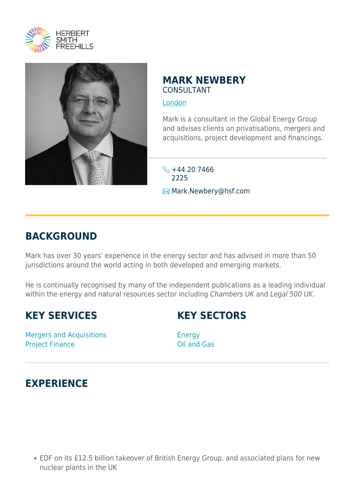



## **MARK NEWBERY** CONSULTANT

[London](https://www.herbertsmithfreehills.com/where-we-work/london)

Mark is a consultant in the Global Energy Group and advises clients on privatisations, mergers and acquisitions, project development and financings.

 $\frac{1}{2}$  +44 20 7466 2225 Mark.Newbery@hsf.com

## **BACKGROUND**

Mark has over 30 years' experience in the energy sector and has advised in more than 50 jurisdictions around the world acting in both developed and emerging markets.

He is continually recognised by many of the independent publications as a leading individual within the energy and natural resources sector including Chambers UK and Legal 500 UK.

## **KEY SERVICES**

**KEY SECTORS**

Mergers and Acquisitions Project Finance

Energy Oil and Gas

## **EXPERIENCE**

EDF on its £12.5 billion takeover of British Energy Group, and associated plans for new nuclear plants in the UK